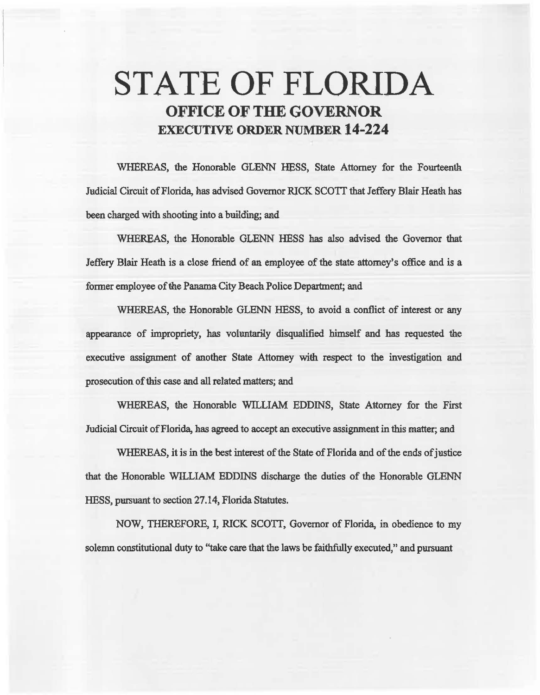# STATE OF FLORIDA OFFICE OF THE GOVERNOR EXECUTIVE ORDER NUMBER 14-224

WHEREAS, the Honorable GLENN HESS, State Attorney for the Fourteenth Judicial Circuit of Florida, has advised Governor RICK SCO'IT that Jeffery Blair Heath has been charged with shooting into a building; aad

WHEREAS, the Honorable GLENN HESS has also advised the Govemor that Jeffery Blair Heath is a close friend of an employee of the state attorney's office and is a former employee of the Panama City Beach Police Department; and

WHEREAS, the Honorable GLENN HESS, to avoid a conflict of interest or any appearan.ce of impropriety, has vohmtarily disqualified himself and has requested the executive assignment of another State Attorney with respect to the investigation and prosecution of this case and all related matters; and

WHEREAS, the Honorable WILLIAM EDDINS, State Attomey for the First Judicial Circuit of Florida, has agreed to accept an executive assignment in this matter; and

WHEREAS, it is in the best interest of the State of Florida and of the ends of justice that the Honorable WILLIAM EDDINS discharge the duties of the Honorable GLENN HESS, pursuant to sectioa 27 .14, Florida Statutes.

NOW, THEREFORE, I, RICK SCOTI, Governor of Florida, in. obedience to my solemn constitutional duty to "take care that the laws be faithfully executed," and pursuant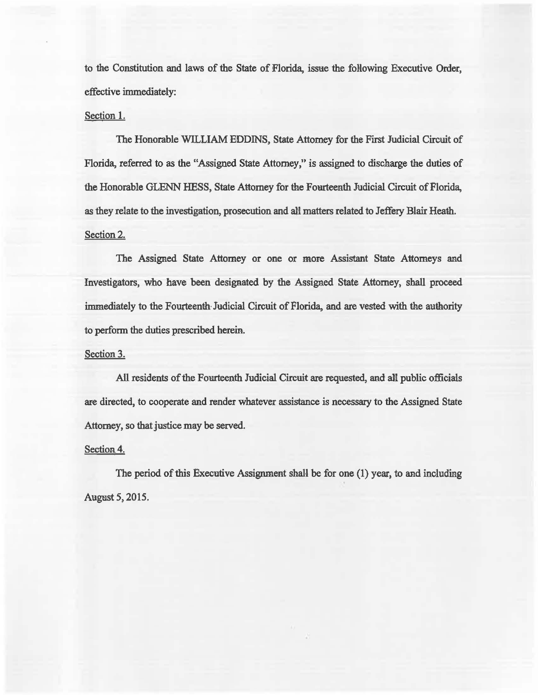to the Constitution and laws of the State of Florida, issue the following Executive Order, effective immediately:

### Section 1.

The Honorable WILLIAM EDDINS, State Attorney for the First Judicial Circuit of Florida, referred to as the "Assigned State Attorney," is assigned to discharge the doties of the Honorable GLENN HESS, State Attorney for the Fourteenth Judicial Circuit of Florida, as they relate to the investigation, prosecution and all matters related to Jeffery Blair Heath. Section 2.

The Assigned State Attorney or one or more Assistant State Attorneys and Investigators, who have been designated by the Assigned State Attorney, shall proceed immediately to the Fourteenth· Judicial Circuit of Florida, and are vested with the authority to perform the duties prescribed herein.

#### Section 3.

All residents of the Fourteenth Judicial Circuit are requested, and all public officials are directed, to cooperate and render whatever assistance is necessary to the Assigned State Attorney, so that justice may be served.

#### Section 4.

The period of this Executive Assignment shall be for one  $(1)$  year, to and including Augest *5,* 2015.